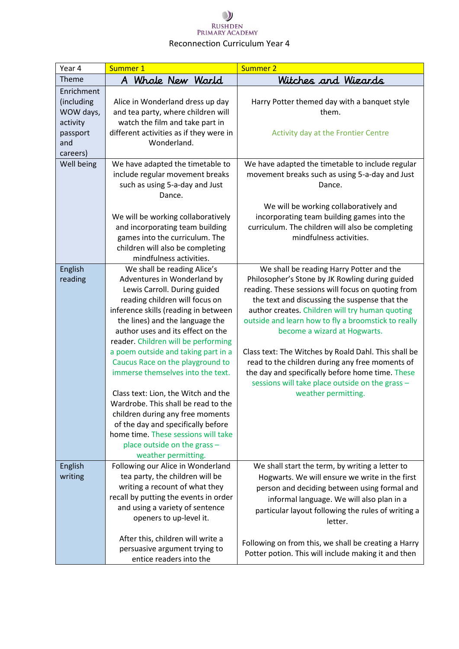| Year 4     | Summer 1                                                              | Summer 2                                                                                                |
|------------|-----------------------------------------------------------------------|---------------------------------------------------------------------------------------------------------|
| Theme      | A Whole New World                                                     | Witches and Wizards                                                                                     |
| Enrichment |                                                                       |                                                                                                         |
| (including | Alice in Wonderland dress up day                                      | Harry Potter themed day with a banquet style                                                            |
| WOW days,  | and tea party, where children will                                    | them.                                                                                                   |
| activity   | watch the film and take part in                                       |                                                                                                         |
| passport   | different activities as if they were in                               | Activity day at the Frontier Centre                                                                     |
| and        | Wonderland.                                                           |                                                                                                         |
| careers)   |                                                                       |                                                                                                         |
| Well being | We have adapted the timetable to                                      | We have adapted the timetable to include regular                                                        |
|            | include regular movement breaks                                       | movement breaks such as using 5-a-day and Just                                                          |
|            | such as using 5-a-day and Just                                        | Dance.                                                                                                  |
|            | Dance.                                                                |                                                                                                         |
|            |                                                                       | We will be working collaboratively and                                                                  |
|            | We will be working collaboratively                                    | incorporating team building games into the                                                              |
|            | and incorporating team building                                       | curriculum. The children will also be completing                                                        |
|            | games into the curriculum. The                                        | mindfulness activities.                                                                                 |
|            | children will also be completing                                      |                                                                                                         |
|            | mindfulness activities.                                               |                                                                                                         |
| English    | We shall be reading Alice's                                           | We shall be reading Harry Potter and the                                                                |
| reading    | Adventures in Wonderland by                                           | Philosopher's Stone by JK Rowling during guided                                                         |
|            | Lewis Carroll. During guided                                          | reading. These sessions will focus on quoting from                                                      |
|            | reading children will focus on                                        | the text and discussing the suspense that the                                                           |
|            | inference skills (reading in between                                  | author creates. Children will try human quoting                                                         |
|            | the lines) and the language the                                       | outside and learn how to fly a broomstick to really                                                     |
|            | author uses and its effect on the                                     | become a wizard at Hogwarts.                                                                            |
|            | reader. Children will be performing                                   |                                                                                                         |
|            | a poem outside and taking part in a                                   | Class text: The Witches by Roald Dahl. This shall be<br>read to the children during any free moments of |
|            | Caucus Race on the playground to<br>immerse themselves into the text. | the day and specifically before home time. These                                                        |
|            |                                                                       | sessions will take place outside on the grass -                                                         |
|            | Class text: Lion, the Witch and the                                   | weather permitting.                                                                                     |
|            | Wardrobe. This shall be read to the                                   |                                                                                                         |
|            | children during any free moments                                      |                                                                                                         |
|            | of the day and specifically before                                    |                                                                                                         |
|            | home time. These sessions will take                                   |                                                                                                         |
|            | place outside on the grass -                                          |                                                                                                         |
|            | weather permitting.                                                   |                                                                                                         |
| English    | Following our Alice in Wonderland                                     | We shall start the term, by writing a letter to                                                         |
| writing    | tea party, the children will be                                       | Hogwarts. We will ensure we write in the first                                                          |
|            | writing a recount of what they                                        | person and deciding between using formal and                                                            |
|            | recall by putting the events in order                                 | informal language. We will also plan in a                                                               |
|            | and using a variety of sentence                                       | particular layout following the rules of writing a                                                      |
|            | openers to up-level it.                                               | letter.                                                                                                 |
|            |                                                                       |                                                                                                         |
|            | After this, children will write a                                     | Following on from this, we shall be creating a Harry                                                    |
|            | persuasive argument trying to                                         | Potter potion. This will include making it and then                                                     |
|            | entice readers into the                                               |                                                                                                         |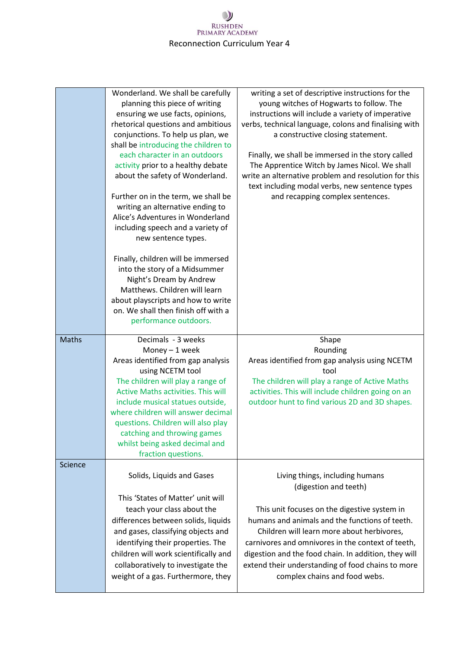|              | Wonderland. We shall be carefully<br>planning this piece of writing<br>ensuring we use facts, opinions,<br>rhetorical questions and ambitious<br>conjunctions. To help us plan, we<br>shall be introducing the children to<br>each character in an outdoors<br>activity prior to a healthy debate<br>about the safety of Wonderland.<br>Further on in the term, we shall be<br>writing an alternative ending to<br>Alice's Adventures in Wonderland<br>including speech and a variety of<br>new sentence types.<br>Finally, children will be immersed<br>into the story of a Midsummer<br>Night's Dream by Andrew<br>Matthews. Children will learn<br>about playscripts and how to write<br>on. We shall then finish off with a<br>performance outdoors. | writing a set of descriptive instructions for the<br>young witches of Hogwarts to follow. The<br>instructions will include a variety of imperative<br>verbs, technical language, colons and finalising with<br>a constructive closing statement.<br>Finally, we shall be immersed in the story called<br>The Apprentice Witch by James Nicol. We shall<br>write an alternative problem and resolution for this<br>text including modal verbs, new sentence types<br>and recapping complex sentences. |
|--------------|----------------------------------------------------------------------------------------------------------------------------------------------------------------------------------------------------------------------------------------------------------------------------------------------------------------------------------------------------------------------------------------------------------------------------------------------------------------------------------------------------------------------------------------------------------------------------------------------------------------------------------------------------------------------------------------------------------------------------------------------------------|------------------------------------------------------------------------------------------------------------------------------------------------------------------------------------------------------------------------------------------------------------------------------------------------------------------------------------------------------------------------------------------------------------------------------------------------------------------------------------------------------|
| <b>Maths</b> | Decimals - 3 weeks<br>Money - 1 week<br>Areas identified from gap analysis<br>using NCETM tool<br>The children will play a range of<br><b>Active Maths activities. This will</b><br>include musical statues outside,<br>where children will answer decimal<br>questions. Children will also play<br>catching and throwing games<br>whilst being asked decimal and<br>fraction questions.                                                                                                                                                                                                                                                                                                                                                                 | Shape<br>Rounding<br>Areas identified from gap analysis using NCETM<br>tool<br>The children will play a range of Active Maths<br>activities. This will include children going on an<br>outdoor hunt to find various 2D and 3D shapes.                                                                                                                                                                                                                                                                |
| Science      | Solids, Liquids and Gases<br>This 'States of Matter' unit will<br>teach your class about the<br>differences between solids, liquids<br>and gases, classifying objects and<br>identifying their properties. The<br>children will work scientifically and<br>collaboratively to investigate the<br>weight of a gas. Furthermore, they                                                                                                                                                                                                                                                                                                                                                                                                                      | Living things, including humans<br>(digestion and teeth)<br>This unit focuses on the digestive system in<br>humans and animals and the functions of teeth.<br>Children will learn more about herbivores,<br>carnivores and omnivores in the context of teeth,<br>digestion and the food chain. In addition, they will<br>extend their understanding of food chains to more<br>complex chains and food webs.                                                                                          |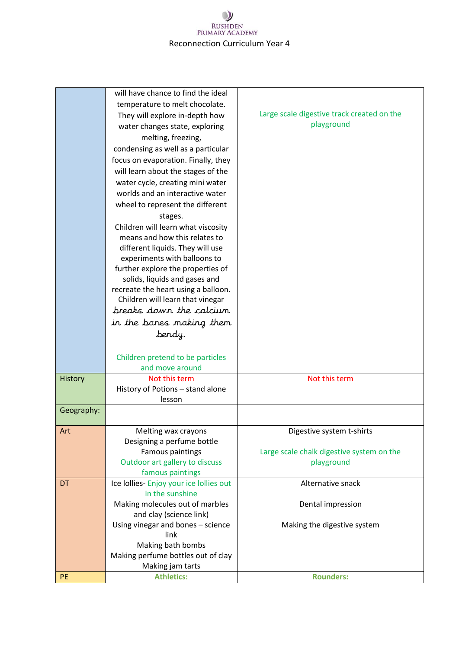|                | will have chance to find the ideal                         |                                            |
|----------------|------------------------------------------------------------|--------------------------------------------|
|                | temperature to melt chocolate.                             |                                            |
|                | They will explore in-depth how                             | Large scale digestive track created on the |
|                | water changes state, exploring                             | playground                                 |
|                | melting, freezing,                                         |                                            |
|                | condensing as well as a particular                         |                                            |
|                | focus on evaporation. Finally, they                        |                                            |
|                | will learn about the stages of the                         |                                            |
|                | water cycle, creating mini water                           |                                            |
|                | worlds and an interactive water                            |                                            |
|                | wheel to represent the different                           |                                            |
|                | stages.                                                    |                                            |
|                | Children will learn what viscosity                         |                                            |
|                | means and how this relates to                              |                                            |
|                | different liquids. They will use                           |                                            |
|                | experiments with balloons to                               |                                            |
|                | further explore the properties of                          |                                            |
|                | solids, liquids and gases and                              |                                            |
|                | recreate the heart using a balloon.                        |                                            |
|                | Children will learn that vinegar                           |                                            |
|                | breaks down the calcium                                    |                                            |
|                | in the bones making them                                   |                                            |
|                | bendy.                                                     |                                            |
|                |                                                            |                                            |
|                | Children pretend to be particles                           |                                            |
|                | and move around                                            |                                            |
| <b>History</b> | Not this term                                              | Not this term                              |
|                | History of Potions - stand alone<br>lesson                 |                                            |
| Geography:     |                                                            |                                            |
|                |                                                            |                                            |
| Art            | Melting wax crayons                                        | Digestive system t-shirts                  |
|                | Designing a perfume bottle                                 |                                            |
|                | <b>Famous paintings</b>                                    | Large scale chalk digestive system on the  |
|                | Outdoor art gallery to discuss                             | playground                                 |
|                | famous paintings                                           |                                            |
| DT             | Ice Iollies-Enjoy your ice Iollies out                     | Alternative snack                          |
|                | in the sunshine                                            |                                            |
|                | Making molecules out of marbles<br>and clay (science link) | Dental impression                          |
|                | Using vinegar and bones - science                          | Making the digestive system                |
|                | link                                                       |                                            |
|                | Making bath bombs                                          |                                            |
|                | Making perfume bottles out of clay                         |                                            |
|                | Making jam tarts                                           |                                            |
| <b>PE</b>      | <b>Athletics:</b>                                          | <b>Rounders:</b>                           |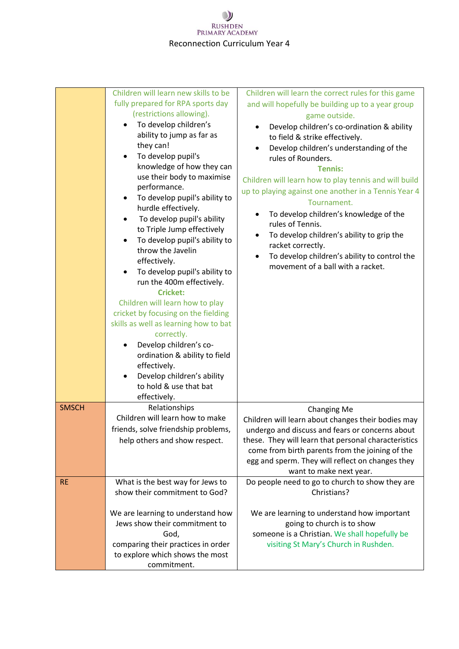|              | Children will learn new skills to be<br>fully prepared for RPA sports day<br>(restrictions allowing).<br>To develop children's<br>ability to jump as far as<br>they can!<br>To develop pupil's<br>knowledge of how they can<br>use their body to maximise<br>performance.<br>To develop pupil's ability to<br>hurdle effectively.<br>To develop pupil's ability<br>$\bullet$<br>to Triple Jump effectively<br>To develop pupil's ability to<br>throw the Javelin<br>effectively.<br>To develop pupil's ability to<br>run the 400m effectively.<br><b>Cricket:</b><br>Children will learn how to play<br>cricket by focusing on the fielding<br>skills as well as learning how to bat<br>correctly.<br>Develop children's co-<br>ordination & ability to field<br>effectively.<br>Develop children's ability<br>to hold & use that bat<br>effectively. | Children will learn the correct rules for this game<br>and will hopefully be building up to a year group<br>game outside.<br>Develop children's co-ordination & ability<br>to field & strike effectively.<br>Develop children's understanding of the<br>rules of Rounders.<br><b>Tennis:</b><br>Children will learn how to play tennis and will build<br>up to playing against one another in a Tennis Year 4<br>Tournament.<br>To develop children's knowledge of the<br>rules of Tennis.<br>To develop children's ability to grip the<br>racket correctly.<br>To develop children's ability to control the<br>$\bullet$<br>movement of a ball with a racket. |
|--------------|-------------------------------------------------------------------------------------------------------------------------------------------------------------------------------------------------------------------------------------------------------------------------------------------------------------------------------------------------------------------------------------------------------------------------------------------------------------------------------------------------------------------------------------------------------------------------------------------------------------------------------------------------------------------------------------------------------------------------------------------------------------------------------------------------------------------------------------------------------|----------------------------------------------------------------------------------------------------------------------------------------------------------------------------------------------------------------------------------------------------------------------------------------------------------------------------------------------------------------------------------------------------------------------------------------------------------------------------------------------------------------------------------------------------------------------------------------------------------------------------------------------------------------|
| <b>SMSCH</b> | Relationships<br>Children will learn how to make<br>friends, solve friendship problems,<br>help others and show respect.                                                                                                                                                                                                                                                                                                                                                                                                                                                                                                                                                                                                                                                                                                                              | <b>Changing Me</b><br>Children will learn about changes their bodies may<br>undergo and discuss and fears or concerns about<br>these. They will learn that personal characteristics<br>come from birth parents from the joining of the<br>egg and sperm. They will reflect on changes they<br>want to make next year.                                                                                                                                                                                                                                                                                                                                          |
| <b>RE</b>    | What is the best way for Jews to<br>show their commitment to God?<br>We are learning to understand how<br>Jews show their commitment to<br>God,<br>comparing their practices in order<br>to explore which shows the most<br>commitment.                                                                                                                                                                                                                                                                                                                                                                                                                                                                                                                                                                                                               | Do people need to go to church to show they are<br>Christians?<br>We are learning to understand how important<br>going to church is to show<br>someone is a Christian. We shall hopefully be<br>visiting St Mary's Church in Rushden.                                                                                                                                                                                                                                                                                                                                                                                                                          |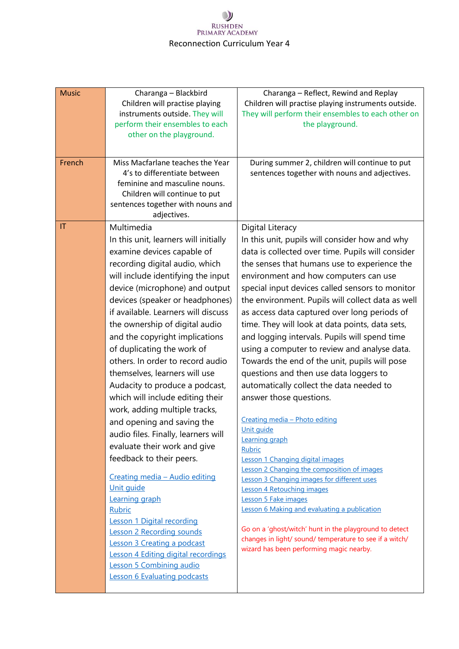| <b>Music</b>           | Charanga - Blackbird                                             | Charanga - Reflect, Rewind and Replay                                                                             |
|------------------------|------------------------------------------------------------------|-------------------------------------------------------------------------------------------------------------------|
|                        | Children will practise playing<br>instruments outside. They will | Children will practise playing instruments outside.<br>They will perform their ensembles to each other on         |
|                        | perform their ensembles to each                                  | the playground.                                                                                                   |
|                        | other on the playground.                                         |                                                                                                                   |
|                        |                                                                  |                                                                                                                   |
|                        |                                                                  |                                                                                                                   |
| French                 | Miss Macfarlane teaches the Year                                 | During summer 2, children will continue to put                                                                    |
|                        | 4's to differentiate between<br>feminine and masculine nouns.    | sentences together with nouns and adjectives.                                                                     |
|                        | Children will continue to put                                    |                                                                                                                   |
|                        | sentences together with nouns and                                |                                                                                                                   |
|                        | adjectives.                                                      |                                                                                                                   |
| $\mathsf{I}\mathsf{T}$ | Multimedia                                                       | Digital Literacy                                                                                                  |
|                        | In this unit, learners will initially                            | In this unit, pupils will consider how and why                                                                    |
|                        | examine devices capable of                                       | data is collected over time. Pupils will consider                                                                 |
|                        | recording digital audio, which                                   | the senses that humans use to experience the                                                                      |
|                        | will include identifying the input                               | environment and how computers can use                                                                             |
|                        | device (microphone) and output                                   | special input devices called sensors to monitor                                                                   |
|                        | devices (speaker or headphones)                                  | the environment. Pupils will collect data as well                                                                 |
|                        | if available. Learners will discuss                              | as access data captured over long periods of                                                                      |
|                        | the ownership of digital audio                                   | time. They will look at data points, data sets,                                                                   |
|                        | and the copyright implications                                   | and logging intervals. Pupils will spend time                                                                     |
|                        | of duplicating the work of                                       | using a computer to review and analyse data.                                                                      |
|                        | others. In order to record audio                                 | Towards the end of the unit, pupils will pose                                                                     |
|                        | themselves, learners will use                                    | questions and then use data loggers to                                                                            |
|                        | Audacity to produce a podcast,                                   | automatically collect the data needed to                                                                          |
|                        | which will include editing their                                 | answer those questions.                                                                                           |
|                        | work, adding multiple tracks,                                    |                                                                                                                   |
|                        | and opening and saving the                                       | Creating media - Photo editing                                                                                    |
|                        | audio files. Finally, learners will                              | Unit guide<br>Learning graph                                                                                      |
|                        | evaluate their work and give                                     | Rubric                                                                                                            |
|                        | feedback to their peers.                                         | Lesson 1 Changing digital images                                                                                  |
|                        | Creating media - Audio editing                                   | Lesson 2 Changing the composition of images<br>Lesson 3 Changing images for different uses                        |
|                        | Unit quide                                                       | Lesson 4 Retouching images                                                                                        |
|                        | Learning graph                                                   | Lesson 5 Fake images                                                                                              |
|                        | <b>Rubric</b>                                                    | Lesson 6 Making and evaluating a publication                                                                      |
|                        | <b>Lesson 1 Digital recording</b>                                |                                                                                                                   |
|                        | <b>Lesson 2 Recording sounds</b>                                 | Go on a 'ghost/witch' hunt in the playground to detect<br>changes in light/ sound/ temperature to see if a witch/ |
|                        | Lesson 3 Creating a podcast                                      | wizard has been performing magic nearby.                                                                          |
|                        | Lesson 4 Editing digital recordings                              |                                                                                                                   |
|                        | Lesson 5 Combining audio                                         |                                                                                                                   |
|                        | <b>Lesson 6 Evaluating podcasts</b>                              |                                                                                                                   |